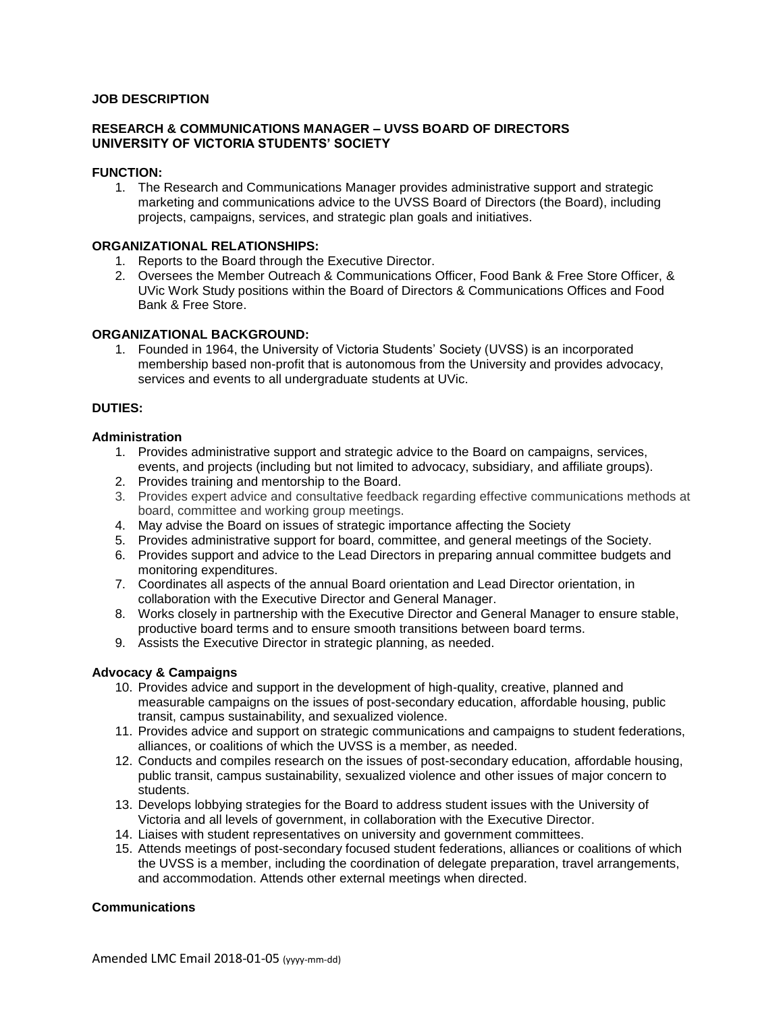## **JOB DESCRIPTION**

## **RESEARCH & COMMUNICATIONS MANAGER – UVSS BOARD OF DIRECTORS UNIVERSITY OF VICTORIA STUDENTS' SOCIETY**

## **FUNCTION:**

1. The Research and Communications Manager provides administrative support and strategic marketing and communications advice to the UVSS Board of Directors (the Board), including projects, campaigns, services, and strategic plan goals and initiatives.

## **ORGANIZATIONAL RELATIONSHIPS:**

- 1. Reports to the Board through the Executive Director.
- 2. Oversees the Member Outreach & Communications Officer, Food Bank & Free Store Officer, & UVic Work Study positions within the Board of Directors & Communications Offices and Food Bank & Free Store.

## **ORGANIZATIONAL BACKGROUND:**

1. Founded in 1964, the University of Victoria Students' Society (UVSS) is an incorporated membership based non-profit that is autonomous from the University and provides advocacy, services and events to all undergraduate students at UVic.

## **DUTIES:**

## **Administration**

- 1. Provides administrative support and strategic advice to the Board on campaigns, services, events, and projects (including but not limited to advocacy, subsidiary, and affiliate groups).
- 2. Provides training and mentorship to the Board.
- 3. Provides expert advice and consultative feedback regarding effective communications methods at board, committee and working group meetings.
- 4. May advise the Board on issues of strategic importance affecting the Society
- 5. Provides administrative support for board, committee, and general meetings of the Society.
- 6. Provides support and advice to the Lead Directors in preparing annual committee budgets and monitoring expenditures.
- 7. Coordinates all aspects of the annual Board orientation and Lead Director orientation, in collaboration with the Executive Director and General Manager.
- 8. Works closely in partnership with the Executive Director and General Manager to ensure stable, productive board terms and to ensure smooth transitions between board terms.
- 9. Assists the Executive Director in strategic planning, as needed.

# **Advocacy & Campaigns**

- 10. Provides advice and support in the development of high-quality, creative, planned and measurable campaigns on the issues of post-secondary education, affordable housing, public transit, campus sustainability, and sexualized violence.
- 11. Provides advice and support on strategic communications and campaigns to student federations, alliances, or coalitions of which the UVSS is a member, as needed.
- 12. Conducts and compiles research on the issues of post-secondary education, affordable housing, public transit, campus sustainability, sexualized violence and other issues of major concern to students.
- 13. Develops lobbying strategies for the Board to address student issues with the University of Victoria and all levels of government, in collaboration with the Executive Director.
- 14. Liaises with student representatives on university and government committees.
- 15. Attends meetings of post-secondary focused student federations, alliances or coalitions of which the UVSS is a member, including the coordination of delegate preparation, travel arrangements, and accommodation. Attends other external meetings when directed.

# **Communications**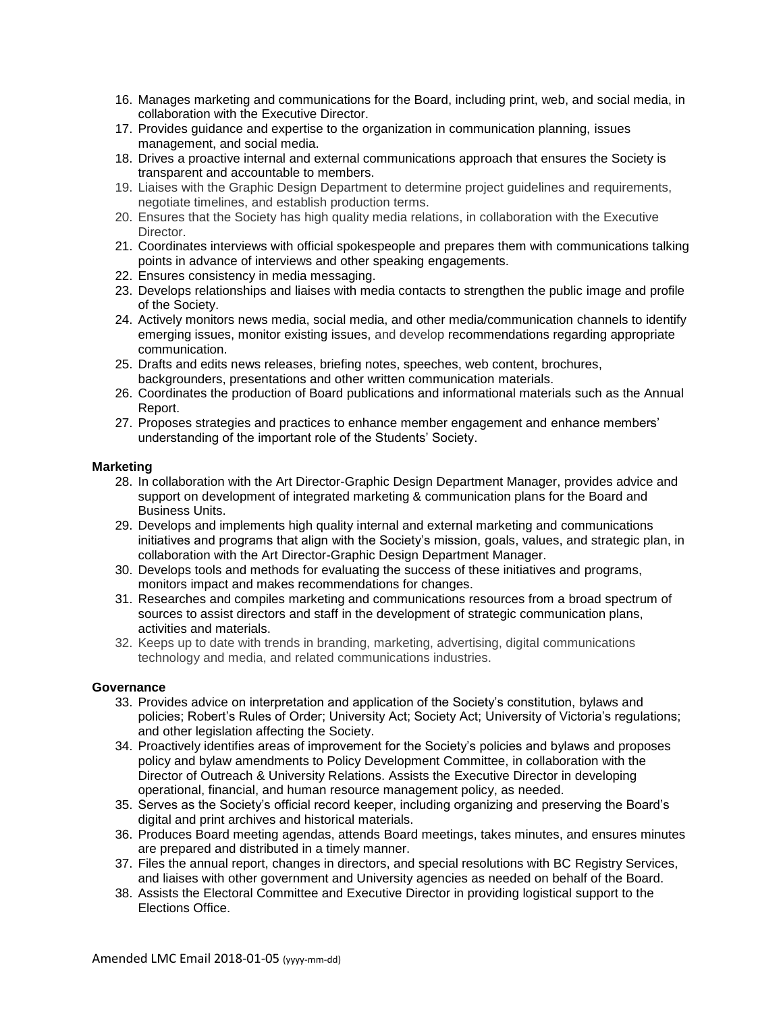- 16. Manages marketing and communications for the Board, including print, web, and social media, in collaboration with the Executive Director.
- 17. Provides guidance and expertise to the organization in communication planning, issues management, and social media.
- 18. Drives a proactive internal and external communications approach that ensures the Society is transparent and accountable to members.
- 19. Liaises with the Graphic Design Department to determine project guidelines and requirements, negotiate timelines, and establish production terms.
- 20. Ensures that the Society has high quality media relations, in collaboration with the Executive Director.
- 21. Coordinates interviews with official spokespeople and prepares them with communications talking points in advance of interviews and other speaking engagements.
- 22. Ensures consistency in media messaging.
- 23. Develops relationships and liaises with media contacts to strengthen the public image and profile of the Society.
- 24. Actively monitors news media, social media, and other media/communication channels to identify emerging issues, monitor existing issues, and develop recommendations regarding appropriate communication.
- 25. Drafts and edits news releases, briefing notes, speeches, web content, brochures, backgrounders, presentations and other written communication materials.
- 26. Coordinates the production of Board publications and informational materials such as the Annual Report.
- 27. Proposes strategies and practices to enhance member engagement and enhance members' understanding of the important role of the Students' Society.

#### **Marketing**

- 28. In collaboration with the Art Director-Graphic Design Department Manager, provides advice and support on development of integrated marketing & communication plans for the Board and Business Units.
- 29. Develops and implements high quality internal and external marketing and communications initiatives and programs that align with the Society's mission, goals, values, and strategic plan, in collaboration with the Art Director-Graphic Design Department Manager.
- 30. Develops tools and methods for evaluating the success of these initiatives and programs, monitors impact and makes recommendations for changes.
- 31. Researches and compiles marketing and communications resources from a broad spectrum of sources to assist directors and staff in the development of strategic communication plans, activities and materials.
- 32. Keeps up to date with trends in branding, marketing, advertising, digital communications technology and media, and related communications industries.

#### **Governance**

- 33. Provides advice on interpretation and application of the Society's constitution, bylaws and policies; Robert's Rules of Order; University Act; Society Act; University of Victoria's regulations; and other legislation affecting the Society.
- 34. Proactively identifies areas of improvement for the Society's policies and bylaws and proposes policy and bylaw amendments to Policy Development Committee, in collaboration with the Director of Outreach & University Relations. Assists the Executive Director in developing operational, financial, and human resource management policy, as needed.
- 35. Serves as the Society's official record keeper, including organizing and preserving the Board's digital and print archives and historical materials.
- 36. Produces Board meeting agendas, attends Board meetings, takes minutes, and ensures minutes are prepared and distributed in a timely manner.
- 37. Files the annual report, changes in directors, and special resolutions with BC Registry Services, and liaises with other government and University agencies as needed on behalf of the Board.
- 38. Assists the Electoral Committee and Executive Director in providing logistical support to the Elections Office.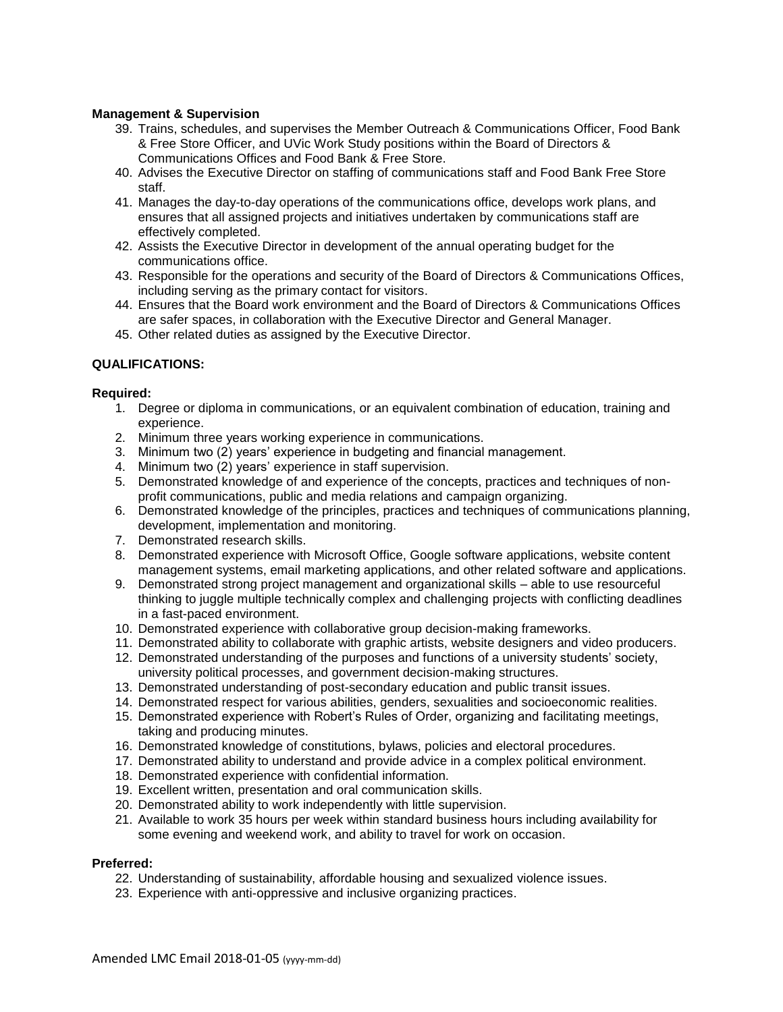## **Management & Supervision**

- 39. Trains, schedules, and supervises the Member Outreach & Communications Officer, Food Bank & Free Store Officer, and UVic Work Study positions within the Board of Directors & Communications Offices and Food Bank & Free Store.
- 40. Advises the Executive Director on staffing of communications staff and Food Bank Free Store staff.
- 41. Manages the day-to-day operations of the communications office, develops work plans, and ensures that all assigned projects and initiatives undertaken by communications staff are effectively completed.
- 42. Assists the Executive Director in development of the annual operating budget for the communications office.
- 43. Responsible for the operations and security of the Board of Directors & Communications Offices, including serving as the primary contact for visitors.
- 44. Ensures that the Board work environment and the Board of Directors & Communications Offices are safer spaces, in collaboration with the Executive Director and General Manager.
- 45. Other related duties as assigned by the Executive Director.

# **QUALIFICATIONS:**

## **Required:**

- 1. Degree or diploma in communications, or an equivalent combination of education, training and experience.
- 2. Minimum three years working experience in communications.
- 3. Minimum two (2) years' experience in budgeting and financial management.
- 4. Minimum two (2) years' experience in staff supervision.
- 5. Demonstrated knowledge of and experience of the concepts, practices and techniques of nonprofit communications, public and media relations and campaign organizing.
- 6. Demonstrated knowledge of the principles, practices and techniques of communications planning, development, implementation and monitoring.
- 7. Demonstrated research skills.
- 8. Demonstrated experience with Microsoft Office, Google software applications, website content management systems, email marketing applications, and other related software and applications.
- 9. Demonstrated strong project management and organizational skills able to use resourceful thinking to juggle multiple technically complex and challenging projects with conflicting deadlines in a fast-paced environment.
- 10. Demonstrated experience with collaborative group decision-making frameworks.
- 11. Demonstrated ability to collaborate with graphic artists, website designers and video producers.
- 12. Demonstrated understanding of the purposes and functions of a university students' society, university political processes, and government decision-making structures.
- 13. Demonstrated understanding of post-secondary education and public transit issues.
- 14. Demonstrated respect for various abilities, genders, sexualities and socioeconomic realities.
- 15. Demonstrated experience with Robert's Rules of Order, organizing and facilitating meetings, taking and producing minutes.
- 16. Demonstrated knowledge of constitutions, bylaws, policies and electoral procedures.
- 17. Demonstrated ability to understand and provide advice in a complex political environment.
- 18. Demonstrated experience with confidential information.
- 19. Excellent written, presentation and oral communication skills.
- 20. Demonstrated ability to work independently with little supervision.
- 21. Available to work 35 hours per week within standard business hours including availability for some evening and weekend work, and ability to travel for work on occasion.

## **Preferred:**

- 22. Understanding of sustainability, affordable housing and sexualized violence issues.
- 23. Experience with anti-oppressive and inclusive organizing practices.